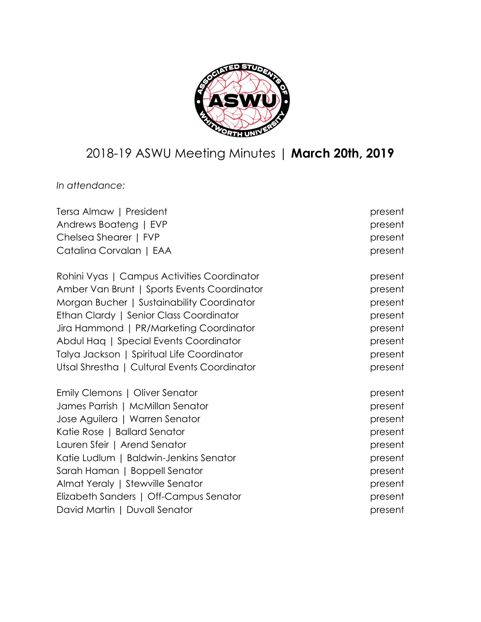

# 2018-19 ASWU Meeting Minutes | **March 20th, 2019**

*In attendance:*

| Tersa Almaw   President                      | present |
|----------------------------------------------|---------|
| Andrews Boateng   EVP                        | present |
| Chelsea Shearer   FVP                        | present |
| Catalina Corvalan   EAA                      | present |
| Rohini Vyas   Campus Activities Coordinator  | present |
| Amber Van Brunt   Sports Events Coordinator  | present |
| Morgan Bucher   Sustainability Coordinator   | present |
| Ethan Clardy   Senior Class Coordinator      | present |
| Jira Hammond   PR/Marketing Coordinator      | present |
| Abdul Haq   Special Events Coordinator       | present |
| Talya Jackson   Spiritual Life Coordinator   | present |
| Utsal Shrestha   Cultural Events Coordinator | present |
| Emily Clemons   Oliver Senator               | present |
| James Parrish   McMillan Senator             | present |
| Jose Aguilera   Warren Senator               | present |
| Katie Rose   Ballard Senator                 | present |
| Lauren Sfeir   Arend Senator                 | present |
| Katie Ludlum   Baldwin-Jenkins Senator       | present |
| Sarah Haman   Boppell Senator                | present |
| Almat Yeraly   Stewville Senator             | present |
| Elizabeth Sanders   Off-Campus Senator       | present |
| David Martin   Duvall Senator                | present |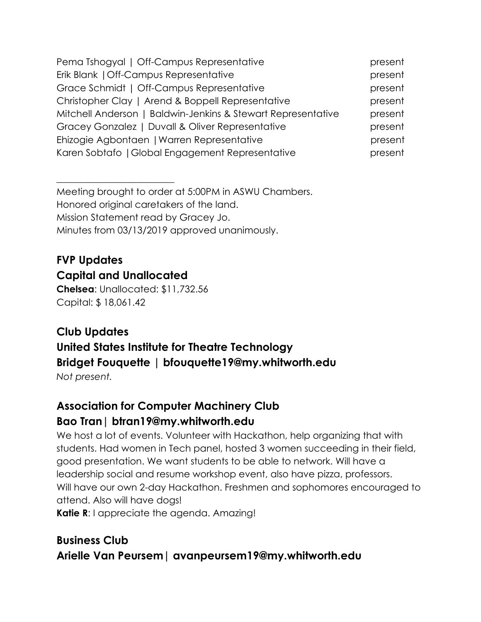| Pema Tshogyal   Off-Campus Representative                    | present |
|--------------------------------------------------------------|---------|
| Erik Blank   Off-Campus Representative                       | present |
| Grace Schmidt   Off-Campus Representative                    | present |
| Christopher Clay   Arend & Boppell Representative            | present |
| Mitchell Anderson   Baldwin-Jenkins & Stewart Representative | present |
| Gracey Gonzalez   Duvall & Oliver Representative             | present |
| Ehizogie Agbontaen   Warren Representative                   | present |
| Karen Sobtafo   Global Engagement Representative             | present |

Meeting brought to order at 5:00PM in ASWU Chambers. Honored original caretakers of the land. Mission Statement read by Gracey Jo. Minutes from 03/13/2019 approved unanimously.

## **FVP Updates Capital and Unallocated**

 $\overline{\phantom{a}}$  , where  $\overline{\phantom{a}}$  , where  $\overline{\phantom{a}}$  , where  $\overline{\phantom{a}}$  , where  $\overline{\phantom{a}}$ 

**Chelsea**: Unallocated: \$11,732.56 Capital: \$ 18,061.42

# **Club Updates United States Institute for Theatre Technology Bridget Fouquette | bfouquette19@my.whitworth.edu**

*Not present.*

## **Association for Computer Machinery Club Bao Tran| btran19@my.whitworth.edu**

We host a lot of events. Volunteer with Hackathon, help organizing that with students. Had women in Tech panel, hosted 3 women succeeding in their field, good presentation. We want students to be able to network. Will have a leadership social and resume workshop event, also have pizza, professors. Will have our own 2-day Hackathon. Freshmen and sophomores encouraged to attend. Also will have dogs!

**Katie R**: I appreciate the agenda. Amazing!

## **Business Club Arielle Van Peursem| avanpeursem19@my.whitworth.edu**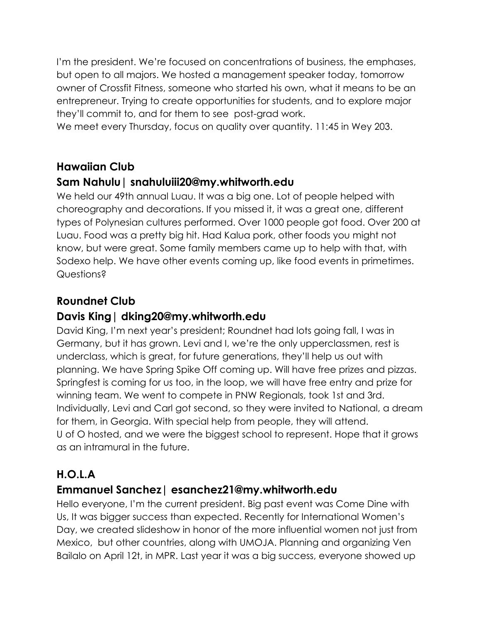I'm the president. We're focused on concentrations of business, the emphases, but open to all majors. We hosted a management speaker today, tomorrow owner of Crossfit Fitness, someone who started his own, what it means to be an entrepreneur. Trying to create opportunities for students, and to explore major they'll commit to, and for them to see post-grad work.

We meet every Thursday, focus on quality over quantity. 11:45 in Wey 203.

#### **Hawaiian Club**

#### **Sam Nahulu| snahuluiii20@my.whitworth.edu**

We held our 49th annual Luau. It was a big one. Lot of people helped with choreography and decorations. If you missed it, it was a great one, different types of Polynesian cultures performed. Over 1000 people got food. Over 200 at Luau. Food was a pretty big hit. Had Kalua pork, other foods you might not know, but were great. Some family members came up to help with that, with Sodexo help. We have other events coming up, like food events in primetimes. Questions?

## **Roundnet Club**

#### **Davis King| dking20@my.whitworth.edu**

David King, I'm next year's president; Roundnet had lots going fall, I was in Germany, but it has grown. Levi and I, we're the only upperclassmen, rest is underclass, which is great, for future generations, they'll help us out with planning. We have Spring Spike Off coming up. Will have free prizes and pizzas. Springfest is coming for us too, in the loop, we will have free entry and prize for winning team. We went to compete in PNW Regionals, took 1st and 3rd. Individually, Levi and Carl got second, so they were invited to National, a dream for them, in Georgia. With special help from people, they will attend. U of O hosted, and we were the biggest school to represent. Hope that it grows as an intramural in the future.

## **H.O.L.A**

## **Emmanuel Sanchez| esanchez21@my.whitworth.edu**

Hello everyone, I'm the current president. Big past event was Come Dine with Us, It was bigger success than expected. Recently for International Women's Day, we created slideshow in honor of the more influential women not just from Mexico, but other countries, along with UMOJA. Planning and organizing Ven Bailalo on April 12t, in MPR. Last year it was a big success, everyone showed up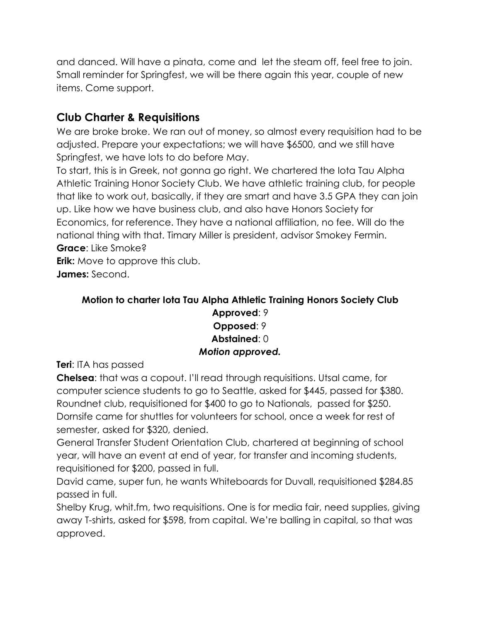and danced. Will have a pinata, come and let the steam off, feel free to join. Small reminder for Springfest, we will be there again this year, couple of new items. Come support.

## **Club Charter & Requisitions**

We are broke broke. We ran out of money, so almost every requisition had to be adjusted. Prepare your expectations; we will have \$6500, and we still have Springfest, we have lots to do before May.

To start, this is in Greek, not gonna go right. We chartered the Iota Tau Alpha Athletic Training Honor Society Club. We have athletic training club, for people that like to work out, basically, if they are smart and have 3.5 GPA they can join up. Like how we have business club, and also have Honors Society for Economics, for reference. They have a national affiliation, no fee. Will do the national thing with that. Timary Miller is president, advisor Smokey Fermin. **Grace**: Like Smoke?

**Erik:** Move to approve this club. **James:** Second.

#### **Motion to charter Iota Tau Alpha Athletic Training Honors Society Club Approved**: 9 **Opposed**: 9 **Abstained**: 0 *Motion approved.*

**Teri**: ITA has passed

**Chelsea**: that was a copout. I'll read through requisitions. Utsal came, for computer science students to go to Seattle, asked for \$445, passed for \$380. Roundnet club, requisitioned for \$400 to go to Nationals, passed for \$250. Dornsife came for shuttles for volunteers for school, once a week for rest of semester, asked for \$320, denied.

General Transfer Student Orientation Club, chartered at beginning of school year, will have an event at end of year, for transfer and incoming students, requisitioned for \$200, passed in full.

David came, super fun, he wants Whiteboards for Duvall, requisitioned \$284.85 passed in full.

Shelby Krug, whit.fm, two requisitions. One is for media fair, need supplies, giving away T-shirts, asked for \$598, from capital. We're balling in capital, so that was approved.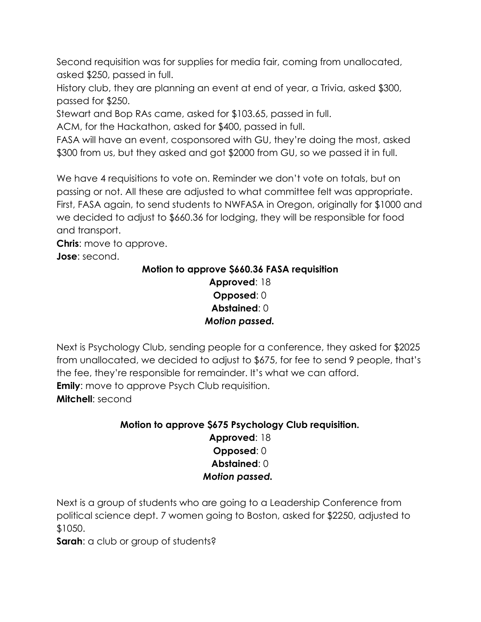Second requisition was for supplies for media fair, coming from unallocated, asked \$250, passed in full.

History club, they are planning an event at end of year, a Trivia, asked \$300, passed for \$250.

Stewart and Bop RAs came, asked for \$103.65, passed in full.

ACM, for the Hackathon, asked for \$400, passed in full.

FASA will have an event, cosponsored with GU, they're doing the most, asked \$300 from us, but they asked and got \$2000 from GU, so we passed it in full.

We have 4 requisitions to vote on. Reminder we don't vote on totals, but on passing or not. All these are adjusted to what committee felt was appropriate. First, FASA again, to send students to NWFASA in Oregon, originally for \$1000 and we decided to adjust to \$660.36 for lodging, they will be responsible for food and transport.

**Chris:** move to approve.

**Jose**: second.

#### **Motion to approve \$660.36 FASA requisition Approved**: 18 **Opposed**: 0 **Abstained**: 0 *Motion passed.*

Next is Psychology Club, sending people for a conference, they asked for \$2025 from unallocated, we decided to adjust to \$675, for fee to send 9 people, that's the fee, they're responsible for remainder. It's what we can afford. **Emily:** move to approve Psych Club requisition. **Mitchell**: second

#### **Motion to approve \$675 Psychology Club requisition. Approved**: 18 **Opposed**: 0 **Abstained**: 0  *Motion passed.*

Next is a group of students who are going to a Leadership Conference from political science dept. 7 women going to Boston, asked for \$2250, adjusted to \$1050.

**Sarah**: a club or group of students?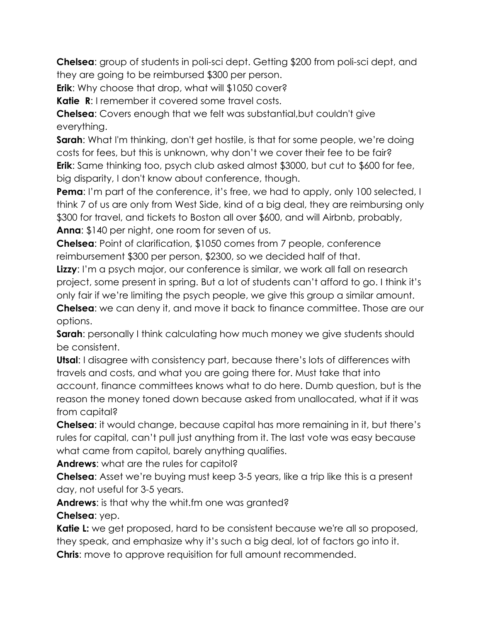**Chelsea**: group of students in poli-sci dept. Getting \$200 from poli-sci dept, and they are going to be reimbursed \$300 per person.

**Erik**: Why choose that drop, what will \$1050 cover?

**Katie R:** I remember it covered some travel costs.

**Chelsea**: Covers enough that we felt was substantial,but couldn't give everything.

**Sarah**: What I'm thinking, don't get hostile, is that for some people, we're doing costs for fees, but this is unknown, why don't we cover their fee to be fair? **Erik**: Same thinking too, psych club asked almost \$3000, but cut to \$600 for fee, big disparity, I don't know about conference, though.

**Pema**: I'm part of the conference, it's free, we had to apply, only 100 selected, I think 7 of us are only from West Side, kind of a big deal, they are reimbursing only \$300 for travel, and tickets to Boston all over \$600, and will Airbnb, probably, **Anna**: \$140 per night, one room for seven of us.

**Chelsea**: Point of clarification, \$1050 comes from 7 people, conference reimbursement \$300 per person, \$2300, so we decided half of that.

**Lizzy**: I'm a psych major, our conference is similar, we work all fall on research project, some present in spring. But a lot of students can't afford to go. I think it's only fair if we're limiting the psych people, we give this group a similar amount.

**Chelsea**: we can deny it, and move it back to finance committee. Those are our options.

**Sarah:** personally I think calculating how much money we give students should be consistent.

**Utsal**: I disagree with consistency part, because there's lots of differences with travels and costs, and what you are going there for. Must take that into account, finance committees knows what to do here. Dumb question, but is the reason the money toned down because asked from unallocated, what if it was from capital?

**Chelsea**: it would change, because capital has more remaining in it, but there's rules for capital, can't pull just anything from it. The last vote was easy because what came from capitol, barely anything qualifies.

**Andrews**: what are the rules for capitol?

**Chelsea**: Asset we're buying must keep 3-5 years, like a trip like this is a present day, not useful for 3-5 years.

**Andrews**: is that why the whit.fm one was granted?

**Chelsea**: yep.

**Katie L:** we get proposed, hard to be consistent because we're all so proposed, they speak, and emphasize why it's such a big deal, lot of factors go into it. **Chris**: move to approve requisition for full amount recommended.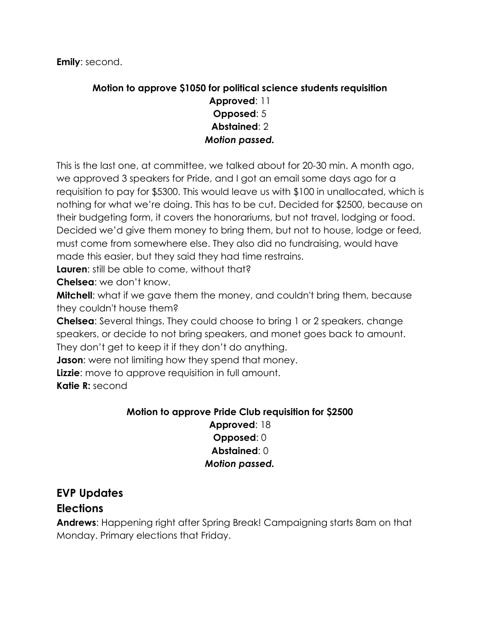#### **Motion to approve \$1050 for political science students requisition**

#### **Approved**: 11 **Opposed**: 5 **Abstained**: 2 *Motion passed.*

This is the last one, at committee, we talked about for 20-30 min. A month ago, we approved 3 speakers for Pride, and I got an email some days ago for a requisition to pay for \$5300. This would leave us with \$100 in unallocated, which is nothing for what we're doing. This has to be cut. Decided for \$2500, because on their budgeting form, it covers the honorariums, but not travel, lodging or food. Decided we'd give them money to bring them, but not to house, lodge or feed, must come from somewhere else. They also did no fundraising, would have made this easier, but they said they had time restrains.

**Lauren**: still be able to come, without that?

**Chelsea**: we don't know.

**Mitchell:** what if we gave them the money, and couldn't bring them, because they couldn't house them?

**Chelsea**: Several things. They could choose to bring 1 or 2 speakers, change speakers, or decide to not bring speakers, and monet goes back to amount. They don't get to keep it if they don't do anything.

**Jason**: were not limiting how they spend that money.

**Lizzie**: move to approve requisition in full amount.

**Katie R:** second

#### **Motion to approve Pride Club requisition for \$2500**

**Approved**: 18 **Opposed**: 0 **Abstained**: 0 *Motion passed.*

## **EVP Updates**

#### **Elections**

**Andrews**: Happening right after Spring Break! Campaigning starts 8am on that Monday. Primary elections that Friday.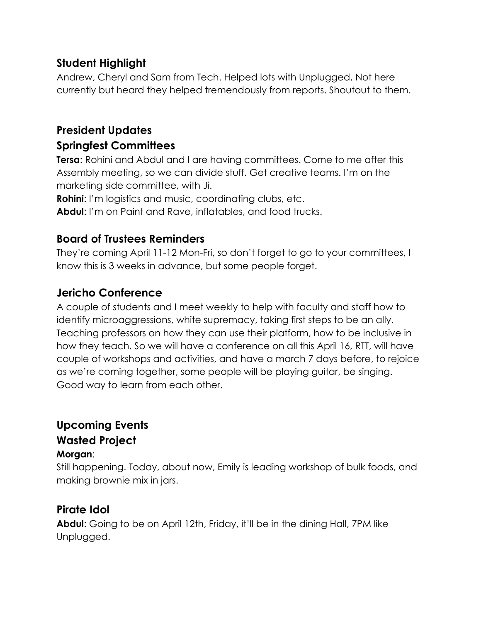## **Student Highlight**

Andrew, Cheryl and Sam from Tech. Helped lots with Unplugged, Not here currently but heard they helped tremendously from reports. Shoutout to them.

## **President Updates Springfest Committees**

**Tersa**: Rohini and Abdul and I are having committees. Come to me after this Assembly meeting, so we can divide stuff. Get creative teams. I'm on the marketing side committee, with Ji.

**Rohini**: I'm logistics and music, coordinating clubs, etc.

**Abdul**: I'm on Paint and Rave, inflatables, and food trucks.

#### **Board of Trustees Reminders**

They're coming April 11-12 Mon-Fri, so don't forget to go to your committees, I know this is 3 weeks in advance, but some people forget.

#### **Jericho Conference**

A couple of students and I meet weekly to help with faculty and staff how to identify microaggressions, white supremacy, taking first steps to be an ally. Teaching professors on how they can use their platform, how to be inclusive in how they teach. So we will have a conference on all this April 16, RTT, will have couple of workshops and activities, and have a march 7 days before, to rejoice as we're coming together, some people will be playing guitar, be singing. Good way to learn from each other.

# **Upcoming Events Wasted Project**

#### **Morgan**:

Still happening. Today, about now, Emily is leading workshop of bulk foods, and making brownie mix in jars.

#### **Pirate Idol**

**Abdul**: Going to be on April 12th, Friday, it'll be in the dining Hall, 7PM like Unplugged.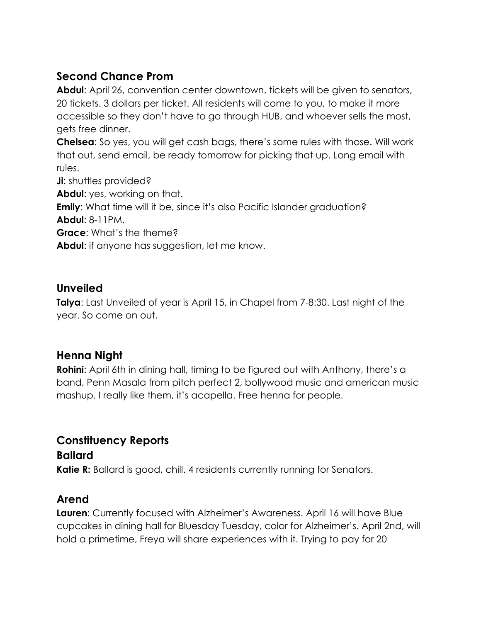## **Second Chance Prom**

**Abdul**: April 26, convention center downtown, tickets will be given to senators, 20 tickets. 3 dollars per ticket. All residents will come to you, to make it more accessible so they don't have to go through HUB, and whoever sells the most, gets free dinner.

**Chelsea**: So yes, you will get cash bags, there's some rules with those. Will work that out, send email, be ready tomorrow for picking that up. Long email with rules.

**Ji**: shuttles provided?

**Abdul**: yes, working on that.

**Emily:** What time will it be, since it's also Pacific Islander graduation? **Abdul**: 8-11PM.

**Grace**: What's the theme?

**Abdul**: if anyone has suggestion, let me know.

#### **Unveiled**

**Talya**: Last Unveiled of year is April 15, in Chapel from 7-8:30. Last night of the year. So come on out.

#### **Henna Night**

**Rohini**: April 6th in dining hall, timing to be figured out with Anthony, there's a band, Penn Masala from pitch perfect 2, bollywood music and american music mashup. I really like them, it's acapella. Free henna for people.

#### **Constituency Reports**

**Ballard Katie R:** Ballard is good, chill. 4 residents currently running for Senators.

#### **Arend**

**Lauren**: Currently focused with Alzheimer's Awareness. April 16 will have Blue cupcakes in dining hall for Bluesday Tuesday, color for Alzheimer's. April 2nd, will hold a primetime, Freya will share experiences with it. Trying to pay for 20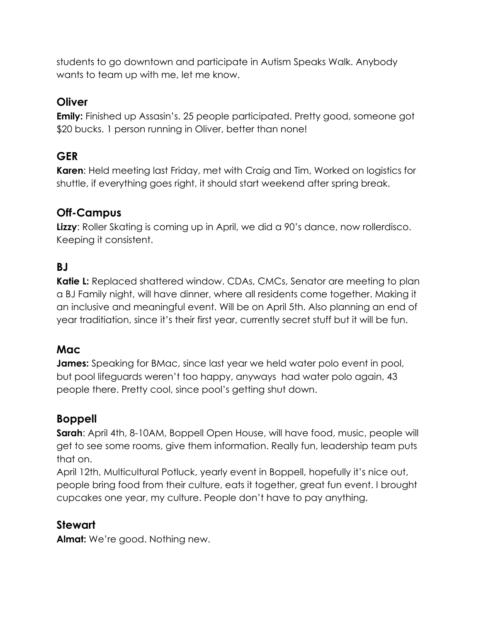students to go downtown and participate in Autism Speaks Walk. Anybody wants to team up with me, let me know.

#### **Oliver**

**Emily:** Finished up Assasin's. 25 people participated. Pretty good, someone got \$20 bucks. 1 person running in Oliver, better than none!

## **GER**

**Karen**: Held meeting last Friday, met with Craig and Tim, Worked on logistics for shuttle, if everything goes right, it should start weekend after spring break.

## **Off-Campus**

**Lizzy**: Roller Skating is coming up in April, we did a 90's dance, now rollerdisco. Keeping it consistent.

#### **BJ**

**Katie L:** Replaced shattered window. CDAs, CMCs, Senator are meeting to plan a BJ Family night, will have dinner, where all residents come together. Making it an inclusive and meaningful event. Will be on April 5th. Also planning an end of year traditiation, since it's their first year, currently secret stuff but it will be fun.

#### **Mac**

**James:** Speaking for BMac, since last year we held water polo event in pool, but pool lifeguards weren't too happy, anyways had water polo again, 43 people there. Pretty cool, since pool's getting shut down.

#### **Boppell**

**Sarah**: April 4th, 8-10AM, Boppell Open House, will have food, music, people will get to see some rooms, give them information. Really fun, leadership team puts that on.

April 12th, Multicultural Potluck, yearly event in Boppell, hopefully it's nice out, people bring food from their culture, eats it together, great fun event. I brought cupcakes one year, my culture. People don't have to pay anything.

#### **Stewart**

**Almat:** We're good. Nothing new.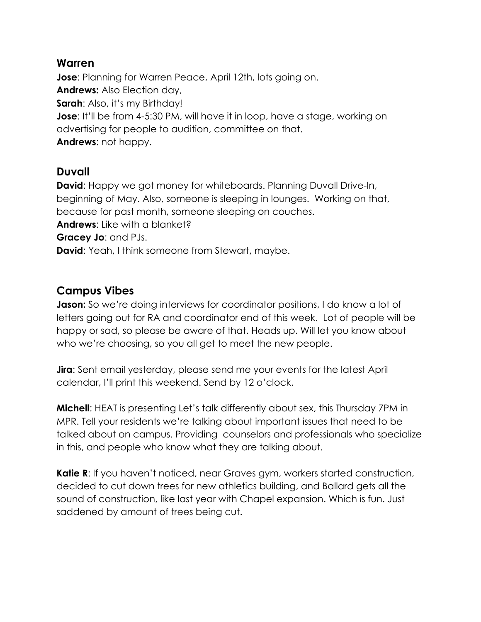#### **Warren**

**Jose**: Planning for Warren Peace, April 12th, lots going on. **Andrews:** Also Election day, **Sarah**: Also, it's my Birthday! **Jose:** It'll be from 4-5:30 PM, will have it in loop, have a stage, working on advertising for people to audition, committee on that. **Andrews**: not happy.

#### **Duvall**

**David:** Happy we got money for whiteboards. Planning Duvall Drive-In, beginning of May. Also, someone is sleeping in lounges. Working on that, because for past month, someone sleeping on couches. **Andrews**: Like with a blanket? **Gracey Jo**: and PJs. **David:** Yeah, I think someone from Stewart, maybe.

#### **Campus Vibes**

**Jason:** So we're doing interviews for coordinator positions, I do know a lot of letters going out for RA and coordinator end of this week. Lot of people will be happy or sad, so please be aware of that. Heads up. Will let you know about who we're choosing, so you all get to meet the new people.

**Jira**: Sent email yesterday, please send me your events for the latest April calendar, I'll print this weekend. Send by 12 o'clock.

**Michell**: HEAT is presenting Let's talk differently about sex, this Thursday 7PM in MPR. Tell your residents we're talking about important issues that need to be talked about on campus. Providing counselors and professionals who specialize in this, and people who know what they are talking about.

**Katie R**: If you haven't noticed, near Graves gym, workers started construction, decided to cut down trees for new athletics building, and Ballard gets all the sound of construction, like last year with Chapel expansion. Which is fun. Just saddened by amount of trees being cut.